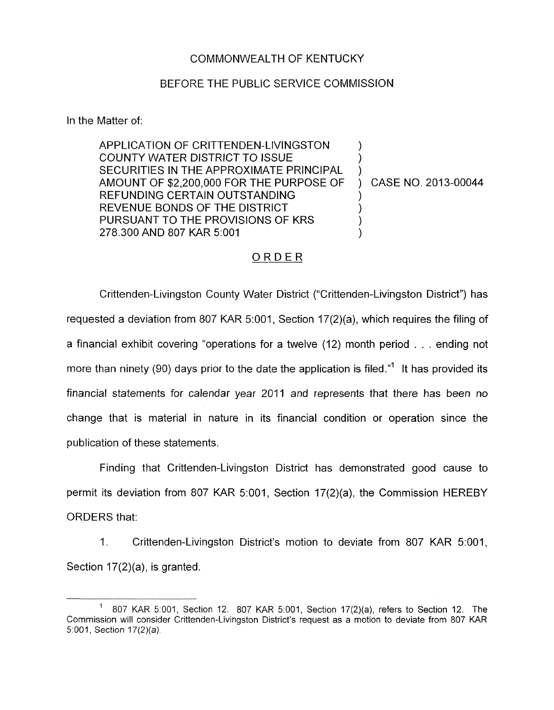## COMMONWEALTH OF KENTUCKY

## BEFORE THE PUBLIC SERVICE COMMISSION

In the Matter of:

APPLICATION OF CRITTENDEN-LIVINGSTON COUNTY WATER DISTRICT TO ISSUE SECURITIES IN THE APPROXIMATE PRINCIPAL AMOUNT OF \$2,200,000 FOR THE PURPOSE OF REFUNDING CERTAIN OUTSTANDING REVENUE BONDS OF THE DISTRICT PURSUANT TO THE PROVISIONS OF KRS 278.300 AND 807 KAR 5:OOl ) ) ) ) ) ) )

) CASE NO. 2013-00044

## ORDER

Crittenden-Livingston County Water District ("Crittenden-Livingston District") has requested a deviation from 807 KAR 5:001, Section 17(2)(a), which requires the filing of a financial exhibit covering "operations for a twelve (12) month period . . . ending not more than ninety (90) days prior to the date the application is filed.<sup>"1</sup> It has provided its financial statements for calendar year 2011 and represents that there has been no change that is material in nature in its financial condition or operation since the publication of these statements.

Finding that Crittenden-Livingston District has demonstrated good cause to permit its deviation from 807 KAR 5:001, Section 17(2)(a), the Commission HEREBY ORDERS that:

1. Crittenden-Livingston District's motion to deviate from 807 KAR 5:001, Section 17(2)(a), is granted.

<sup>807</sup> KAR 5-001, Section 12. 807 KAR 5:001, Section 17(2)(a), refers to Section 12. The Commission will consider Crittenden-Livingston District's request as a motion to deviate from 807 KAR **51001,** *Section* 17(2)(a) 1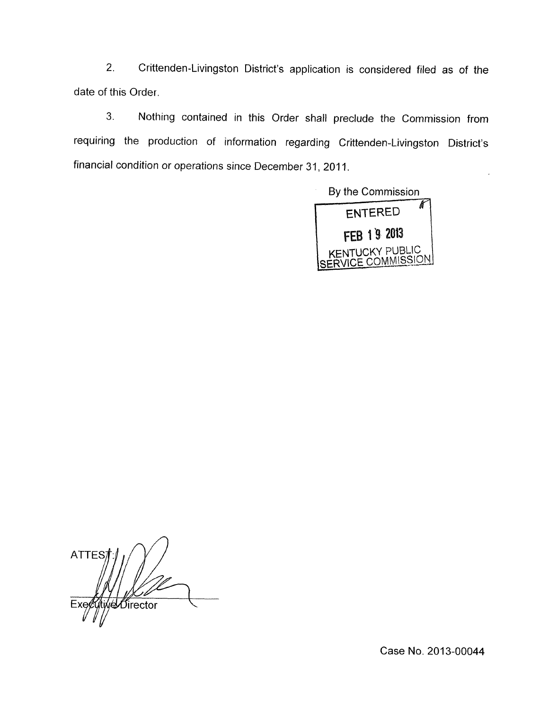2. Crittenden-Livingston District's application is considered filed as of the date of this Order.

3. Nothing contained in this Order shall preclude the Commission from requiring the production of information regarding Crittenden-Livingston District's financial condition or operations since December 31, 2011.

By the Commission Å ENTERED FEB 19 2013<br>NTUCKY PUBLIC CE COMMISSION

 $\overline{a}$ **ATTES** *Ő*irector

Case **No.** 2013-00044